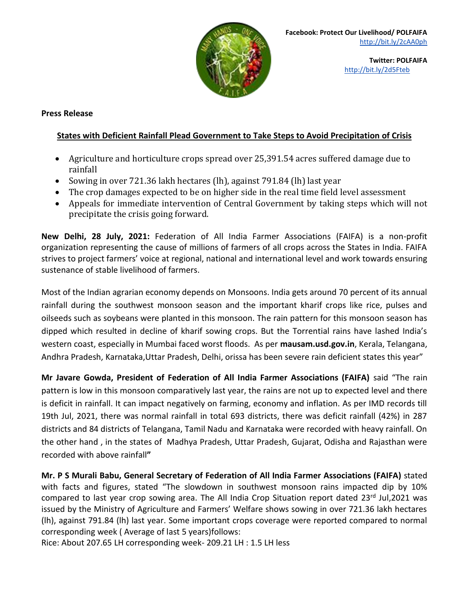

## **Press Release**

## **States with Deficient Rainfall Plead Government to Take Steps to Avoid Precipitation of Crisis**

- Agriculture and horticulture crops spread over 25,391.54 acres suffered damage due to rainfall
- Sowing in over 721.36 lakh hectares (lh), against 791.84 (lh) last year
- The crop damages expected to be on higher side in the real time field level assessment
- Appeals for immediate intervention of Central Government by taking steps which will not precipitate the crisis going forward.

**New Delhi, 28 July, 2021:** Federation of All India Farmer Associations (FAIFA) is a non-profit organization representing the cause of millions of farmers of all crops across the States in India. FAIFA strives to project farmers' voice at regional, national and international level and work towards ensuring sustenance of stable livelihood of farmers.

Most of the Indian agrarian economy depends on Monsoons. India gets around 70 percent of its annual rainfall during the southwest monsoon season and the important kharif crops like rice, pulses and oilseeds such as soybeans were planted in this monsoon. The rain pattern for this monsoon season has dipped which resulted in decline of kharif sowing crops. But the Torrential rains have lashed India's western coast, especially in Mumbai faced worst floods. As per **mausam.usd.gov.in**, Kerala, Telangana, Andhra Pradesh, Karnataka,Uttar Pradesh, Delhi, orissa has been severe rain deficient states this year"

**Mr Javare Gowda, President of Federation of All India Farmer Associations (FAIFA)** said "The rain pattern is low in this monsoon comparatively last year, the rains are not up to expected level and there is deficit in rainfall. It can impact negatively on farming, economy and inflation. As per IMD records till 19th Jul, 2021, there was normal rainfall in total 693 districts, there was deficit rainfall (42%) in 287 districts and 84 districts of Telangana, Tamil Nadu and Karnataka were recorded with heavy rainfall. On the other hand , in the states of Madhya Pradesh, Uttar Pradesh, Gujarat, Odisha and Rajasthan were recorded with above rainfall**"**

**Mr. P S Murali Babu, General Secretary of Federation of All India Farmer Associations (FAIFA)** stated with facts and figures, stated "The slowdown in southwest monsoon rains impacted dip by 10% compared to last year crop sowing area. The All India Crop Situation report dated 23rd Jul,2021 was issued by the Ministry of Agriculture and Farmers' Welfare shows sowing in over 721.36 lakh hectares (lh), against 791.84 (lh) last year. Some important crops coverage were reported compared to normal corresponding week ( Average of last 5 years)follows:

Rice: About 207.65 LH corresponding week- 209.21 LH : 1.5 LH less